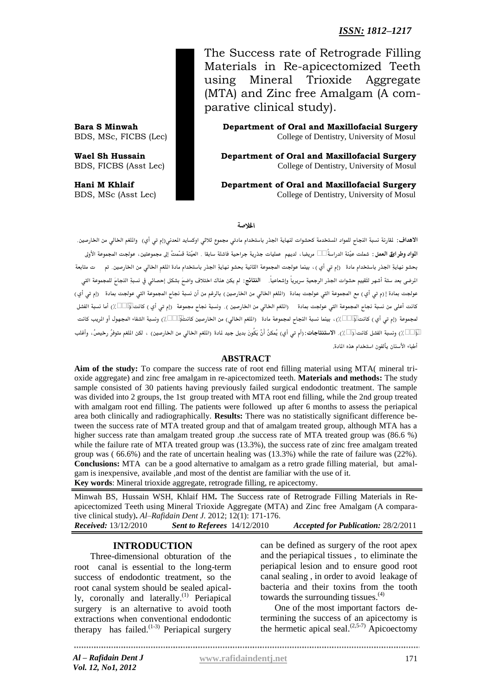# *ISSN: 1812–1217*

The Success rate of Retrograde Filling Materials in Re-apicectomized Teeth using Mineral Trioxide Aggregate (MTA) and Zinc free Amalgam (A comparative clinical study).

**Bara S Minwah Department of Oral and Maxillofacial Surgery** BDS, MSc, FICBS (Lec) College of Dentistry, University of Mosul

**Wael Sh Hussain Department of Oral and Maxillofacial Surgery** BDS, FICBS (Asst Lec) **Dentistry, University of Mosul College of Dentistry, University of Mosul** 

**Hani M Khlaif Department of Oral and Maxillofacial Surgery** BDS, MSc (Asst Lec) College of Dentistry, University of Mosul

#### اخلال**صة**

.<br>الأهداف: لقارنة نسبة النجاح للمواد المستخدمة كحشوات لنهاية الجذر باستخدام مادت<sub>ي</sub> مجموع ثلاثي اوكسايد العدني(إم تي أي) واللغم الخالي من الخارصين. ا**لواد وطرائق العمل**: شملت عيّنة الدراسةُ 30 مريضِا، لديهم عمليات جذرية جراحية فاشلة سابقا . العيّنة قسّمتْ إلى مجموعتين، عولجت المجموعة الأولى .<br>بحشو نهايةِ الجذر باستخدام مادة (إم تي أي ) ، بينما عولجت المجموعة الثانية بحشو نهايةِ الجذر باستخدام مادة الملغم الخالي من الخارصين. تم ت متابعة الرضى بعد ستة أشهر لتَقييم حشوات الجذر الرجعيةِ سريرياً وإشعاعياً. **النتائج:** لم يكن هناك اختلاف واضحَ بشكل إحصائى في نسبةِ النجاحَ للمجموعة التي عولجت بمادة إ(م تي أي) مع المجموعة التي عولجت بمادة (الملغم الخالي من الخارصين) بالرغم من أن نسبة نجاح المجموعة التي عولجت بمادة (إم تي أي) .<br>كانت أعلي من نسبة نجاح المجموعة التي عولجت بمادة – (الملغم الخالي من الخارصين ). ونسبة نجاح مجموعة -(إم تي أي ) كانت §,86(٪) أما نسبة الفشل لمجموعة (إم تي أي) كانت $\{3,3\}$ )، بينما نسبة النجاح لمجموعة مادة - (الملغم الخالي) من الخارصين كانت $(66,6)$ ) ونسبة الشفاء المجهول أو الريب كانت 13,3٪) ونسبة الفشل كانت 22٪). ا**لاستنتاجات**: (أم ت<sub>ى</sub> أي) يُمكنُ أنْ يَكُونَ بديل جيد لمادة (الملغم الخالي من الخارصين) ، لكن الملغم متوفرُ رخيصُ، وأغلب أطباء الأسنان يألفون استخدام هذه المادة.

#### **ABSTRACT**

**Aim of the study:** To compare the success rate of root end filling material using MTA( mineral trioxide aggregate) and zinc free amalgam in re-apicectomized teeth. **Materials and methods:** The study sample consisted of 30 patients having previously failed surgical endodontic treatment. The sample was divided into 2 groups, the 1st group treated with MTA root end filling, while the 2nd group treated with amalgam root end filling. The patients were followed up after 6 months to assess the periapical area both clinically and radiographically. **Results:** There was no statistically significant difference between the success rate of MTA treated group and that of amalgam treated group, although MTA has a higher success rate than amalgam treated group .the success rate of MTA treated group was (86.6 %) while the failure rate of MTA treated group was  $(13.3\%)$ , the success rate of zinc free amalgam treated group was ( 66.6%) and the rate of uncertain healing was (13.3%) while the rate of failure was (22%). **Conclusions:** MTA can be a good alternative to amalgam as a retro grade filling material, but amalgam is inexpensive, available ,and most of the dentist are familiar with the use of it. **Key words**: Mineral trioxide aggregate, retrograde filling, re apicectomy.

Minwah BS, Hussain WSH, Khlaif HM**.** The Success rate of Retrograde Filling Materials in Reapicectomized Teeth using Mineral Trioxide Aggregate (MTA) and Zinc free Amalgam (A comparative clinical study)**.** *Al–Rafidain Dent J.* 2012; 12(1): 171-176. *Received:* 13/12/2010 *Sent to Referees* 14/12/2010 *Accepted for Publication:* 28/2/2011

### **INTRODUCTION**

 Three-dimensional obturation of the root canal is essential to the long-term success of endodontic treatment, so the root canal system should be sealed apically, coronally and laterally.<sup>(1)</sup> Periapical surgery is an alternative to avoid tooth extractions when conventional endodontic therapy has failed. $(1-3)$  Periapical surgery can be defined as surgery of the root apex and the periapical tissues , to eliminate the periapical lesion and to ensure good root canal sealing , in order to avoid leakage of bacteria and their toxins from the tooth towards the surrounding tissues.<sup>(4)</sup>

One of the most important factors determining the success of an apicectomy is the hermetic apical seal.  $(2.5-7)$  Apicoectomy

*Vol. 12, No1, 2012*

*Al – Rafidain Dent J* **[www.rafidaindentj.net](file:///I:\7(1)%20fi\www.rafidaindentj.net)**

171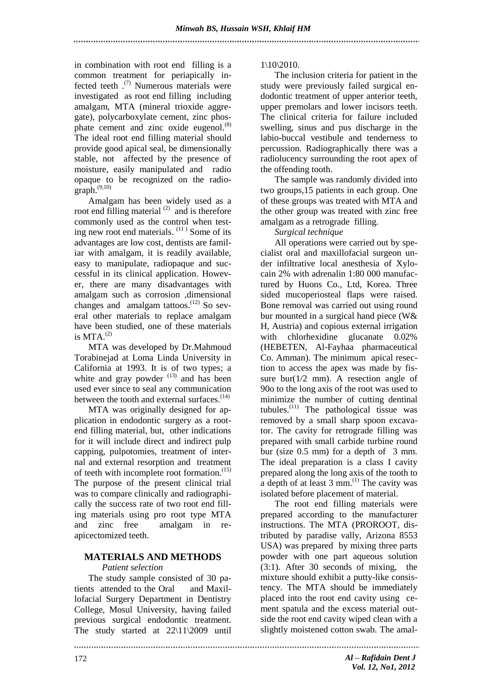in combination with root end filling is a common treatment for periapically infected teeth .(7) Numerous materials were investigated as root end filling including amalgam, MTA (mineral trioxide aggregate), polycarboxylate cement, zinc phosphate cement and zinc oxide eugenol.<sup>(8)</sup> The ideal root end filling material should provide good apical seal, be dimensionally stable, not affected by the presence of moisture, easily manipulated and radio opaque to be recognized on the radio $graph.$ <sup>(9,10)</sup>

Amalgam has been widely used as a root end filling material  $(2)$  and is therefore commonly used as the control when testing new root end materials.  $(11)$  Some of its advantages are low cost, dentists are familiar with amalgam, it is readily available, easy to manipulate, radiopaque and successful in its clinical application. However, there are many disadvantages with amalgam such as corrosion ,dimensional changes and amalgam tattoos.<sup>(12)</sup> So several other materials to replace amalgam have been studied, one of these materials is  $MTA.$ <sup>(2)</sup>

MTA was developed by Dr.Mahmoud Torabinejad at Loma Linda University in California at 1993. It is of two types; a white and gray powder  $(13)$  and has been used ever since to seal any communication between the tooth and external surfaces.<sup>(14)</sup>

MTA was originally designed for application in endodontic surgery as a rootend filling material, but, other indications for it will include direct and indirect pulp capping, pulpotomies, treatment of internal and external resorption and treatment of teeth with incomplete root formation.<sup>(15)</sup> The purpose of the present clinical trial was to compare clinically and radiographically the success rate of two root end filling materials using pro root type MTA and zinc free amalgam in reapicectomized teeth.

## **MATERIALS AND METHODS**

### *Patient selection*

The study sample consisted of 30 patients attended to the Oral and Maxillofacial Surgery Department in Dentistry College, Mosul University, having failed previous surgical endodontic treatment. The study started at 22\11\2009 until

1\10\2010.

The inclusion criteria for patient in the study were previously failed surgical endodontic treatment of upper anterior teeth, upper premolars and lower incisors teeth. The clinical criteria for failure included swelling, sinus and pus discharge in the labio-buccal vestibule and tenderness to percussion. Radiographically there was a radiolucency surrounding the root apex of the offending tooth.

The sample was randomly divided into two groups,15 patients in each group. One of these groups was treated with MTA and the other group was treated with zinc free amalgam as a retrograde filling.

*Surgical technique*

All operations were carried out by specialist oral and maxillofacial surgeon under infiltrative local anesthesia of Xylocain 2% with adrenalin 1:80 000 manufactured by Huons Co., Ltd, Korea. Three sided mucoperiosteal flaps were raised. Bone removal was carried out using round bur mounted in a surgical hand piece (W& H, Austria) and copious external irrigation with chlorhexidine glucanate 0.02% (HEBETEN, Al-Fayhaa pharmaceutical Co. Amman). The minimum apical resection to access the apex was made by fissure bur( $1/2$  mm). A resection angle of 90o to the long axis of the root was used to minimize the number of cutting dentinal tubules. (11) The pathological tissue was removed by a small sharp spoon excavator. The cavity for retrograde filling was prepared with small carbide turbine round bur (size 0.5 mm) for a depth of 3 mm. The ideal preparation is a class I cavity prepared along the long axis of the tooth to  $\alpha$  depth of at least 3 mm.<sup>(1)</sup> The cavity was isolated before placement of material.

The root end filling materials were prepared according to the manufacturer instructions. The MTA (PROROOT, distributed by paradise vally, Arizona 8553 USA) was prepared by mixing three parts powder with one part aqueous solution (3:1). After 30 seconds of mixing, the mixture should exhibit a putty-like consistency. The MTA should be immediately placed into the root end cavity using cement spatula and the excess material outside the root end cavity wiped clean with a slightly moistened cotton swab. The amal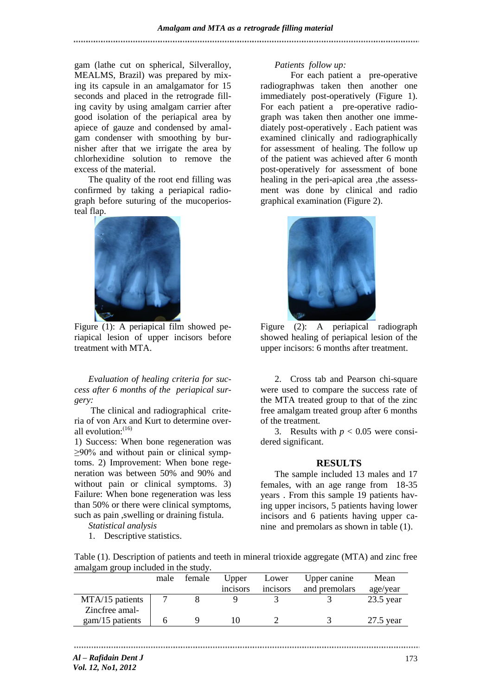gam (lathe cut on spherical, Silveralloy, MEALMS, Brazil) was prepared by mixing its capsule in an amalgamator for 15 seconds and placed in the retrograde filling cavity by using amalgam carrier after good isolation of the periapical area by apiece of gauze and condensed by amalgam condenser with smoothing by burnisher after that we irrigate the area by chlorhexidine solution to remove the excess of the material.

The quality of the root end filling was confirmed by taking a periapical radiograph before suturing of the mucoperiosteal flap.



 Figure (1): A periapical film showed periapical lesion of upper incisors before treatment with MTA.

*Evaluation of healing criteria for success after 6 months of the periapical surgery:*

The clinical and radiographical criteria of von Arx and Kurt to determine overall evolution $(16)$ 

1) Success: When bone regeneration was ≥90% and without pain or clinical symptoms. 2) Improvement: When bone regeneration was between 50% and 90% and without pain or clinical symptoms. 3) Failure: When bone regeneration was less than 50% or there were clinical symptoms, such as pain ,swelling or draining fistula.

*Statistical analysis*

1. Descriptive statistics.

#### *Patients follow up:*

 For each patient a pre-operative radiographwas taken then another one immediately post-operatively (Figure 1). For each patient a pre-operative radiograph was taken then another one immediately post-operatively . Each patient was examined clinically and radiographically for assessment of healing. The follow up of the patient was achieved after 6 month post-operatively for assessment of bone healing in the peri-apical area , the assessment was done by clinical and radio graphical examination (Figure 2).



Figure (2): A periapical radiograph showed healing of periapical lesion of the upper incisors: 6 months after treatment.

2. Cross tab and Pearson chi-square were used to compare the success rate of the MTA treated group to that of the zinc free amalgam treated group after 6 months of the treatment*.*

3. Results with  $p < 0.05$  were considered significant.

#### **RESULTS**

The sample included 13 males and 17 females, with an age range from 18-35 years . From this sample 19 patients having upper incisors, 5 patients having lower incisors and 6 patients having upper canine and premolars as shown in table (1).

| Table (1). Description of patients and teeth in mineral trioxide aggregate (MTA) and zinc free |  |  |
|------------------------------------------------------------------------------------------------|--|--|
| amalgam group included in the study.                                                           |  |  |

|                   | male | female | Upper    | Lower                 | Upper canine  | Mean        |
|-------------------|------|--------|----------|-----------------------|---------------|-------------|
|                   |      |        | incisors | 1nc <sub>1</sub> sors | and premolars | age/year    |
| MTA/15 patients   |      |        |          |                       |               | $23.5$ year |
| Zincfree amal-    |      |        |          |                       |               |             |
| $gam/15$ patients |      |        |          |                       |               | $27.5$ year |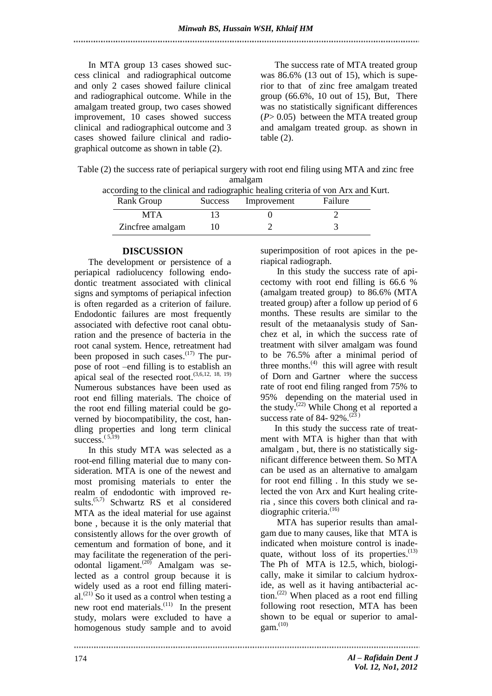In MTA group 13 cases showed success clinical and radiographical outcome and only 2 cases showed failure clinical and radiographical outcome. While in the amalgam treated group, two cases showed improvement, 10 cases showed success clinical and radiographical outcome and 3 cases showed failure clinical and radiographical outcome as shown in table (2).

The success rate of MTA treated group was 86.6% (13 out of 15), which is superior to that of zinc free amalgam treated group (66.6%, 10 out of 15), But, There was no statistically significant differences (*P*> 0.05) between the MTA treated group and amalgam treated group. as shown in table  $(2)$ .

Table (2) the success rate of periapical surgery with root end filing using MTA and zinc free amalgam

|                  |                     | according to the clinical and radiographic healing criteria of von Arx and Kurt. |  |
|------------------|---------------------|----------------------------------------------------------------------------------|--|
| Rank Group       | Success Improvement | Failure                                                                          |  |
| <b>MTA</b>       |                     |                                                                                  |  |
| Zincfree amalgam |                     |                                                                                  |  |

#### **DISCUSSION**

The development or persistence of a periapical radiolucency following endodontic treatment associated with clinical signs and symptoms of periapical infection is often regarded as a criterion of failure. Endodontic failures are most frequently associated with defective root canal obturation and the presence of bacteria in the root canal system. Hence, retreatment had been proposed in such cases. $(17)$  The purpose of root –end filling is to establish an apical seal of the resected root.  $(3,6,12, 18, 19)$ Numerous substances have been used as root end filling materials. The choice of the root end filling material could be governed by biocompatibility, the cost, handling properties and long term clinical success. $^{(5,19)}$ 

In this study MTA was selected as a root-end filling material due to many consideration. MTA is one of the newest and most promising materials to enter the realm of endodontic with improved results.<sup>(5,7)</sup> Schwartz RS et al considered MTA as the ideal material for use against bone , because it is the only material that consistently allows for the over growth of cementum and formation of bone, and it may facilitate the regeneration of the periodontal ligament.<sup>(20)</sup> Amalgam was selected as a control group because it is widely used as a root end filling material. (21) So it used as a control when testing a new root end materials. $(11)$  In the present study, molars were excluded to have a homogenous study sample and to avoid

superimposition of root apices in the periapical radiograph.

In this study the success rate of apicectomy with root end filling is 66.6 % (amalgam treated group) to 86.6% (MTA treated group) after a follow up period of 6 months. These results are similar to the result of the metaanalysis study of Sanchez et al, in which the success rate of treatment with silver amalgam was found to be 76.5% after a minimal period of three months.<sup>(4)</sup> this will agree with result of Dorn and Gartner where the success rate of root end filing ranged from 75% to 95% depending on the material used in the study.<sup> $(22)$ </sup> While Chong et al reported a success rate of 84-  $92\%$ .<sup>(23)</sup>

In this study the success rate of treatment with MTA is higher than that with amalgam , but, there is no statistically significant difference between them. So MTA can be used as an alternative to amalgam for root end filling . In this study we selected the von Arx and Kurt healing criteria , since this covers both clinical and radiographic criteria.<sup>(16)</sup>

MTA has superior results than amalgam due to many causes, like that MTA is indicated when moisture control is inadequate, without loss of its properties.<sup>(13)</sup> The Ph of MTA is 12.5, which, biologically, make it similar to calcium hydroxide, as well as it having antibacterial action. (22) When placed as a root end filling following root resection, MTA has been shown to be equal or superior to amal $gam.$ <sup>(10)</sup>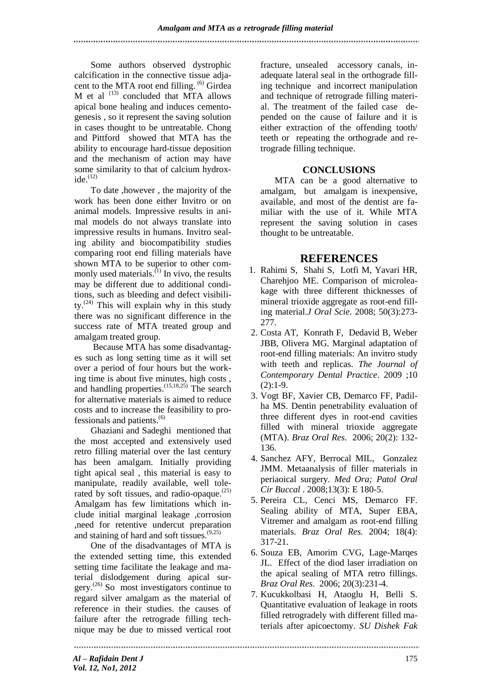Some authors observed dystrophic calcification in the connective tissue adjacent to the MTA root end filling. <sup>(6)</sup> Girdea M et al  $^{(13)}$  concluded that MTA allows apical bone healing and induces cementogenesis , so it represent the saving solution in cases thought to be untreatable. Chong and Pittford showed that MTA has the ability to encourage hard-tissue deposition and the mechanism of action may have some similarity to that of calcium hydroxide. $(12)$ 

To date ,however , the majority of the work has been done either Invitro or on animal models. Impressive results in animal models do not always translate into impressive results in humans. Invitro sealing ability and biocompatibility studies comparing root end filling materials have shown MTA to be superior to other commonly used materials. $^{(1)}$  In vivo, the results may be different due to additional conditions, such as bleeding and defect visibility.<sup> $(24)$ </sup> This will explain why in this study there was no significant difference in the success rate of MTA treated group and amalgam treated group.

 Because MTA has some disadvantages such as long setting time as it will set over a period of four hours but the working time is about five minutes, high costs , and handling properties. (15,18,25) The search for alternative materials is aimed to reduce costs and to increase the feasibility to professionals and patients. (6)

Ghaziani and Sadeghi mentioned that the most accepted and extensively used retro filling material over the last century has been amalgam. Initially providing tight apical seal , this material is easy to manipulate, readily available, well tolerated by soft tissues, and radio-opaque. $^{(25)}$ Amalgam has few limitations which include initial marginal leakage ,corrosion ,need for retentive undercut preparation and staining of hard and soft tissues. (9,25)

One of the disadvantages of MTA is the extended setting time, this extended setting time facilitate the leakage and material dislodgement during apical surgery. (26) So most investigators continue to regard silver amalgam as the material of reference in their studies. the causes of failure after the retrograde filling technique may be due to missed vertical root fracture, unsealed accessory canals, inadequate lateral seal in the orthograde filling technique and incorrect manipulation and technique of retrograde filling material. The treatment of the failed case depended on the cause of failure and it is either extraction of the offending tooth/ teeth or repeating the orthograde and retrograde filling technique.

## **CONCLUSIONS**

MTA can be a good alternative to amalgam, but amalgam is inexpensive, available, and most of the dentist are familiar with the use of it. While MTA represent the saving solution in cases thought to be untreatable.

# **REFERENCES**

- 1. Rahimi S, Shahi S, Lotfi M, Yavari HR, Charehjoo ME. Comparison of microleakage with three different thicknesses of mineral trioxide aggregate as root-end filling material.*J Oral Scie*. 2008; 50(3):273- 277.
- 2. Costa AT, Konrath F, Dedavid B, Weber JBB, Olivera MG. Marginal adaptation of root-end filling materials: An invitro study with teeth and replicas. *The Journal of Contemporary Dental Practice*. 2009 ;10  $(2):1-9.$
- 3. Vogt BF, Xavier CB, Demarco FF, Padilha MS. Dentin penetrability evaluation of three different dyes in root-end cavities filled with mineral trioxide aggregate (MTA). *Braz Oral Res.* 2006; 20(2): 132- 136.
- 4. Sanchez AFY, Berrocal MIL, Gonzalez JMM. Metaanalysis of filler materials in periaoical surgery. *Med Ora; Patol Oral Cir Buccal* . 2008;13(3): E 180-5.
- 5. Pereira CL, Cenci MS, Demarco FF. Sealing ability of MTA, Super EBA, Vitremer and amalgam as root-end filling materials. *Braz Oral Res.* 2004; 18(4): 317-21.
- 6. Souza EB, Amorim CVG, Lage-Marqes JL. Effect of the diod laser irradiation on the apical sealing of MTA retro fillings. *Braz Oral Res*. 2006; 20(3):231-4.
- 7. Kucukkolbasi H, Ataoglu H, Belli S. Quantitative evaluation of leakage in roots filled retrogradely with different filled materials after apicoectomy. *SU Dishek Fak*

*Al – Rafidain Dent J Vol. 12, No1, 2012*